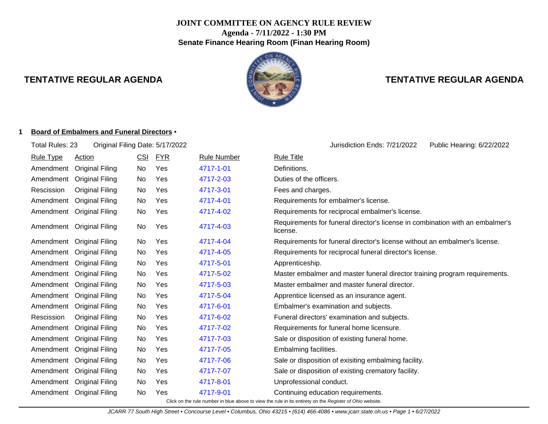# **JOINT COMMITTEE ON AGENCY RULE REVIEW Agenda - 7/11/2022 - 1:30 PM Senate Finance Hearing Room (Finan Hearing Room)**



# **TENTATIVE REGULAR AGENDA TENTATIVE REGULAR AGENDA**

#### **1 Board of Embalmers and Funeral Directors** •

| Total Rules: 23  | Original Filing Date: 5/17/2022                                                                          |            |            |                    | Jurisdiction Ends: 7/21/2022<br>Public Hearing: 6/22/2022                                 |  |  |  |
|------------------|----------------------------------------------------------------------------------------------------------|------------|------------|--------------------|-------------------------------------------------------------------------------------------|--|--|--|
| <b>Rule Type</b> | <b>Action</b>                                                                                            | <u>CSI</u> | <u>FYR</u> | <b>Rule Number</b> | <b>Rule Title</b>                                                                         |  |  |  |
| Amendment        | <b>Original Filing</b>                                                                                   | No         | Yes        | 4717-1-01          | Definitions.                                                                              |  |  |  |
| Amendment        | <b>Original Filing</b>                                                                                   | No.        | Yes        | 4717-2-03          | Duties of the officers.                                                                   |  |  |  |
| Rescission       | <b>Original Filing</b>                                                                                   | No         | Yes        | 4717-3-01          | Fees and charges.                                                                         |  |  |  |
| Amendment        | <b>Original Filing</b>                                                                                   | No.        | Yes        | 4717-4-01          | Requirements for embalmer's license.                                                      |  |  |  |
| Amendment        | <b>Original Filing</b>                                                                                   | No         | Yes        | 4717-4-02          | Requirements for reciprocal embalmer's license.                                           |  |  |  |
|                  | Amendment Original Filing                                                                                | No         | Yes        | 4717-4-03          | Requirements for funeral director's license in combination with an embalmer's<br>license. |  |  |  |
| Amendment        | <b>Original Filing</b>                                                                                   | No         | Yes        | 4717-4-04          | Requirements for funeral director's license without an embalmer's license.                |  |  |  |
| Amendment        | <b>Original Filing</b>                                                                                   | No         | Yes        | 4717-4-05          | Requirements for reciprocal funeral director's license.                                   |  |  |  |
|                  | Amendment Original Filing                                                                                | No         | Yes        | 4717-5-01          | Apprenticeship.                                                                           |  |  |  |
| Amendment        | <b>Original Filing</b>                                                                                   | No.        | Yes        | 4717-5-02          | Master embalmer and master funeral director training program requirements.                |  |  |  |
|                  | Amendment Original Filing                                                                                | No         | Yes        | 4717-5-03          | Master embalmer and master funeral director.                                              |  |  |  |
| Amendment        | <b>Original Filing</b>                                                                                   | No.        | Yes        | 4717-5-04          | Apprentice licensed as an insurance agent.                                                |  |  |  |
|                  | Amendment Original Filing                                                                                | No         | Yes        | 4717-6-01          | Embalmer's examination and subjects.                                                      |  |  |  |
| Rescission       | <b>Original Filing</b>                                                                                   | No.        | Yes        | 4717-6-02          | Funeral directors' examination and subjects.                                              |  |  |  |
| Amendment        | <b>Original Filing</b>                                                                                   | No         | Yes        | 4717-7-02          | Requirements for funeral home licensure.                                                  |  |  |  |
| Amendment        | <b>Original Filing</b>                                                                                   | No         | Yes        | 4717-7-03          | Sale or disposition of existing funeral home.                                             |  |  |  |
| Amendment        | <b>Original Filing</b>                                                                                   | No         | Yes        | 4717-7-05          | Embalming facilities.                                                                     |  |  |  |
| Amendment        | <b>Original Filing</b>                                                                                   | No.        | Yes        | 4717-7-06          | Sale or disposition of exisiting embalming facility.                                      |  |  |  |
| Amendment        | <b>Original Filing</b>                                                                                   | No         | Yes        | 4717-7-07          | Sale or disposition of existing crematory facility.                                       |  |  |  |
|                  | Amendment Original Filing                                                                                | No.        | Yes        | 4717-8-01          | Unprofessional conduct.                                                                   |  |  |  |
| Amendment        | <b>Original Filing</b>                                                                                   | No.        | Yes        | 4717-9-01          | Continuing education requirements.                                                        |  |  |  |
|                  | Click on the rule number in blue above to view the rule in its entirety on the Register of Ohio website. |            |            |                    |                                                                                           |  |  |  |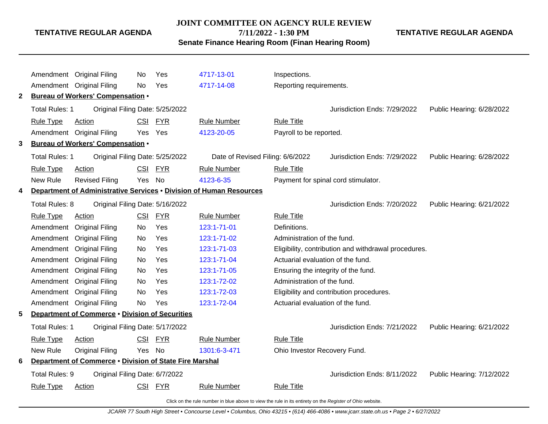**JOINT COMMITTEE ON AGENCY RULE REVIEW**

**7/11/2022 - 1:30 PM**

**TENTATIVE REGULAR AGENDA**

**Senate Finance Hearing Room (Finan Hearing Room)**

Amendment Original Filing No Yes [4717-13-01](http://www.registerofohio.state.oh.us/jsps/publicdisplayrules/processPublicDisplayRules.jsp?entered_rule_no=4717-13-01&doWhat=GETBYRULENUM&raID=0) Inspections. Amendment Original Filing No Yes [4717-14-08](http://www.registerofohio.state.oh.us/jsps/publicdisplayrules/processPublicDisplayRules.jsp?entered_rule_no=4717-14-08&doWhat=GETBYRULENUM&raID=0) Reporting requirements. **2 Bureau of Workers' Compensation** • Total Rules: 1 Original Filing Date: 5/25/2022 <br> **Jurisdiction Ends: 7/29/2022** Public Hearing: 6/28/2022 Rule Type Action **CSI FYR** Rule Number Rule Title Amendment Original Filing Yes Yes [4123-20-05](http://www.registerofohio.state.oh.us/jsps/publicdisplayrules/processPublicDisplayRules.jsp?entered_rule_no=4123-20-05&doWhat=GETBYRULENUM&raID=0) Payroll to be reported. **3 Bureau of Workers' Compensation** • Total Rules: 1 Original Filing Date: 5/25/2022 Date of Revised Filing: 6/6/2022 Jurisdiction Ends: 7/29/2022 Public Hearing: 6/28/2022 Rule Type Action CSI FYR Rule Number Rule Title New Rule Revised Filing Yes No [4123-6-35](http://www.registerofohio.state.oh.us/jsps/publicdisplayrules/processPublicDisplayRules.jsp?entered_rule_no=4123-6-35&doWhat=GETBYRULENUM&raID=0) Payment for spinal cord stimulator. **4 Department of Administrative Services** • **Division of Human Resources** Total Rules: 8 Original Filing Date: 5/16/2022 <br>
Jurisdiction Ends: 7/20/2022 Public Hearing: 6/21/2022 Rule Type Action **CSI FYR** Rule Number Rule Title Amendment Original Filing No Yes [123:1-71-01](http://www.registerofohio.state.oh.us/jsps/publicdisplayrules/processPublicDisplayRules.jsp?entered_rule_no=123:1-71-01&doWhat=GETBYRULENUM&raID=0) Definitions. Amendment Original Filing No Yes [123:1-71-02](http://www.registerofohio.state.oh.us/jsps/publicdisplayrules/processPublicDisplayRules.jsp?entered_rule_no=123:1-71-02&doWhat=GETBYRULENUM&raID=0) Administration of the fund. Amendment Original Filing No Yes [123:1-71-03](http://www.registerofohio.state.oh.us/jsps/publicdisplayrules/processPublicDisplayRules.jsp?entered_rule_no=123:1-71-03&doWhat=GETBYRULENUM&raID=0) Eligibility, contribution and withdrawal procedures. Amendment Original Filing No Yes [123:1-71-04](http://www.registerofohio.state.oh.us/jsps/publicdisplayrules/processPublicDisplayRules.jsp?entered_rule_no=123:1-71-04&doWhat=GETBYRULENUM&raID=0) Actuarial evaluation of the fund. Amendment Original Filing No Yes [123:1-71-05](http://www.registerofohio.state.oh.us/jsps/publicdisplayrules/processPublicDisplayRules.jsp?entered_rule_no=123:1-71-05&doWhat=GETBYRULENUM&raID=0) Ensuring the integrity of the fund. Amendment Original Filing No Yes [123:1-72-02](http://www.registerofohio.state.oh.us/jsps/publicdisplayrules/processPublicDisplayRules.jsp?entered_rule_no=123:1-72-02&doWhat=GETBYRULENUM&raID=0) Administration of the fund. Amendment Original Filing No Yes [123:1-72-03](http://www.registerofohio.state.oh.us/jsps/publicdisplayrules/processPublicDisplayRules.jsp?entered_rule_no=123:1-72-03&doWhat=GETBYRULENUM&raID=0) Eligibility and contribution procedures. Amendment Original Filing No Yes [123:1-72-04](http://www.registerofohio.state.oh.us/jsps/publicdisplayrules/processPublicDisplayRules.jsp?entered_rule_no=123:1-72-04&doWhat=GETBYRULENUM&raID=0) Actuarial evaluation of the fund. **5 Department of Commerce** • **Division of Securities** Total Rules: 1 Original Filing Date: 5/17/2022 <br> **Starting Date: 5/17/2022** Jurisdiction Ends: 7/21/2022 Public Hearing: 6/21/2022 Rule Type Action **CSI FYR** Rule Number Rule Title New Rule Original Filing Yes No [1301:6-3-471](http://www.registerofohio.state.oh.us/jsps/publicdisplayrules/processPublicDisplayRules.jsp?entered_rule_no=1301:6-3-471&doWhat=GETBYRULENUM&raID=0) Ohio Investor Recovery Fund. **6 Department of Commerce** • **Division of State Fire Marshal** Total Rules: 9 Original Filing Date: 6/7/2022 **Jurisdiction Ends: 8/11/2022** Public Hearing: 7/12/2022 Rule Type Action **CSI FYR** Rule Number Rule Title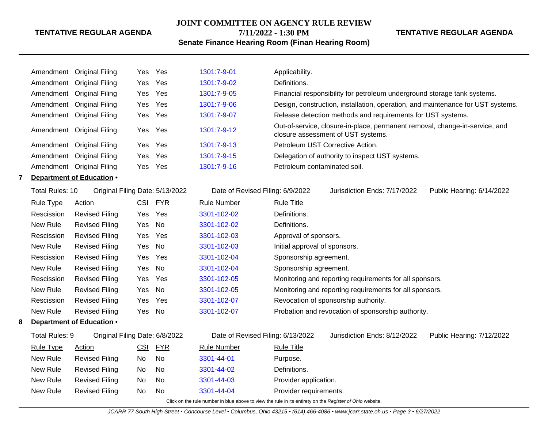#### **JOINT COMMITTEE ON AGENCY RULE REVIEW**

**7/11/2022 - 1:30 PM**

# **Senate Finance Hearing Room (Finan Hearing Room)**

**TENTATIVE REGULAR AGENDA**

# Amendment Original Filing Yes Yes [1301:7-9-01](http://www.registerofohio.state.oh.us/jsps/publicdisplayrules/processPublicDisplayRules.jsp?entered_rule_no=1301:7-9-01&doWhat=GETBYRULENUM&raID=0) Applicability. Amendment Original Filing Yes Yes [1301:7-9-02](http://www.registerofohio.state.oh.us/jsps/publicdisplayrules/processPublicDisplayRules.jsp?entered_rule_no=1301:7-9-02&doWhat=GETBYRULENUM&raID=0) Definitions. Amendment Original Filing Yes Yes [1301:7-9-05](http://www.registerofohio.state.oh.us/jsps/publicdisplayrules/processPublicDisplayRules.jsp?entered_rule_no=1301:7-9-05&doWhat=GETBYRULENUM&raID=0) Financial responsibility for petroleum underground storage tank systems. Amendment Original Filing Yes Yes [1301:7-9-06](http://www.registerofohio.state.oh.us/jsps/publicdisplayrules/processPublicDisplayRules.jsp?entered_rule_no=1301:7-9-06&doWhat=GETBYRULENUM&raID=0) Design, construction, installation, operation, and maintenance for UST systems. Amendment Original Filing Yes Yes [1301:7-9-07](http://www.registerofohio.state.oh.us/jsps/publicdisplayrules/processPublicDisplayRules.jsp?entered_rule_no=1301:7-9-07&doWhat=GETBYRULENUM&raID=0) Release detection methods and requirements for UST systems. Amendment Original Filing Yes Yes [1301:7-9-12](http://www.registerofohio.state.oh.us/jsps/publicdisplayrules/processPublicDisplayRules.jsp?entered_rule_no=1301:7-9-12&doWhat=GETBYRULENUM&raID=0) Out-of-service, closure-in-place, permanent removal, change-in-service, and closure assessment of UST systems. Amendment Original Filing Yes Yes [1301:7-9-13](http://www.registerofohio.state.oh.us/jsps/publicdisplayrules/processPublicDisplayRules.jsp?entered_rule_no=1301:7-9-13&doWhat=GETBYRULENUM&raID=0) Petroleum UST Corrective Action. Amendment Original Filing Yes Yes [1301:7-9-15](http://www.registerofohio.state.oh.us/jsps/publicdisplayrules/processPublicDisplayRules.jsp?entered_rule_no=1301:7-9-15&doWhat=GETBYRULENUM&raID=0) Delegation of authority to inspect UST systems. Amendment Original Filing Yes Yes [1301:7-9-16](http://www.registerofohio.state.oh.us/jsps/publicdisplayrules/processPublicDisplayRules.jsp?entered_rule_no=1301:7-9-16&doWhat=GETBYRULENUM&raID=0) Petroleum contaminated soil. **7 Department of Education** • Total Rules: 10 Original Filing Date: 5/13/2022 Date of Revised Filing: 6/9/2022 Jurisdiction Ends: 7/17/2022 Public Hearing: 6/14/2022 Rule Type Action **CSI FYR** Rule Number Rule Title Rescission Revised Filing Yes Yes [3301-102-02](http://www.registerofohio.state.oh.us/jsps/publicdisplayrules/processPublicDisplayRules.jsp?entered_rule_no=3301-102-02&doWhat=GETBYRULENUM&raID=0) Definitions. New Rule Revised Filing Yes No [3301-102-02](http://www.registerofohio.state.oh.us/jsps/publicdisplayrules/processPublicDisplayRules.jsp?entered_rule_no=3301-102-02&doWhat=GETBYRULENUM&raID=0) Definitions. Rescission Revised Filing Yes Yes [3301-102-03](http://www.registerofohio.state.oh.us/jsps/publicdisplayrules/processPublicDisplayRules.jsp?entered_rule_no=3301-102-03&doWhat=GETBYRULENUM&raID=0) Approval of sponsors. New Rule Revised Filing Yes No [3301-102-03](http://www.registerofohio.state.oh.us/jsps/publicdisplayrules/processPublicDisplayRules.jsp?entered_rule_no=3301-102-03&doWhat=GETBYRULENUM&raID=0) Initial approval of sponsors. Rescission Revised Filing Yes Yes [3301-102-04](http://www.registerofohio.state.oh.us/jsps/publicdisplayrules/processPublicDisplayRules.jsp?entered_rule_no=3301-102-04&doWhat=GETBYRULENUM&raID=0) Sponsorship agreement. New Rule Revised Filing Yes No [3301-102-04](http://www.registerofohio.state.oh.us/jsps/publicdisplayrules/processPublicDisplayRules.jsp?entered_rule_no=3301-102-04&doWhat=GETBYRULENUM&raID=0) Sponsorship agreement. Rescission Revised Filing Yes Yes [3301-102-05](http://www.registerofohio.state.oh.us/jsps/publicdisplayrules/processPublicDisplayRules.jsp?entered_rule_no=3301-102-05&doWhat=GETBYRULENUM&raID=0) Monitoring and reporting requirements for all sponsors. New Rule Revised Filing Yes No [3301-102-05](http://www.registerofohio.state.oh.us/jsps/publicdisplayrules/processPublicDisplayRules.jsp?entered_rule_no=3301-102-05&doWhat=GETBYRULENUM&raID=0) Monitoring and reporting requirements for all sponsors. Rescission Revised Filing Yes Yes [3301-102-07](http://www.registerofohio.state.oh.us/jsps/publicdisplayrules/processPublicDisplayRules.jsp?entered_rule_no=3301-102-07&doWhat=GETBYRULENUM&raID=0) Revocation of sponsorship authority. New Rule Revised Filing Yes No [3301-102-07](http://www.registerofohio.state.oh.us/jsps/publicdisplayrules/processPublicDisplayRules.jsp?entered_rule_no=3301-102-07&doWhat=GETBYRULENUM&raID=0) Probation and revocation of sponsorship authority. **8 Department of Education** • Total Rules: 9 Original Filing Date: 6/8/2022 Date of Revised Filing: 6/13/2022 Jurisdiction Ends: 8/12/2022 Public Hearing: 7/12/2022 Rule Type Action CSI FYR Rule Number Rule Title New Rule Revised Filing No No [3301-44-01](http://www.registerofohio.state.oh.us/jsps/publicdisplayrules/processPublicDisplayRules.jsp?entered_rule_no=3301-44-01&doWhat=GETBYRULENUM&raID=0) Purpose. New Rule Revised Filing No No [3301-44-02](http://www.registerofohio.state.oh.us/jsps/publicdisplayrules/processPublicDisplayRules.jsp?entered_rule_no=3301-44-02&doWhat=GETBYRULENUM&raID=0) Definitions. New Rule Revised Filing No No [3301-44-03](http://www.registerofohio.state.oh.us/jsps/publicdisplayrules/processPublicDisplayRules.jsp?entered_rule_no=3301-44-03&doWhat=GETBYRULENUM&raID=0) Provider application. New Rule Revised Filing No No [3301-44-04](http://www.registerofohio.state.oh.us/jsps/publicdisplayrules/processPublicDisplayRules.jsp?entered_rule_no=3301-44-04&doWhat=GETBYRULENUM&raID=0) Provider requirements.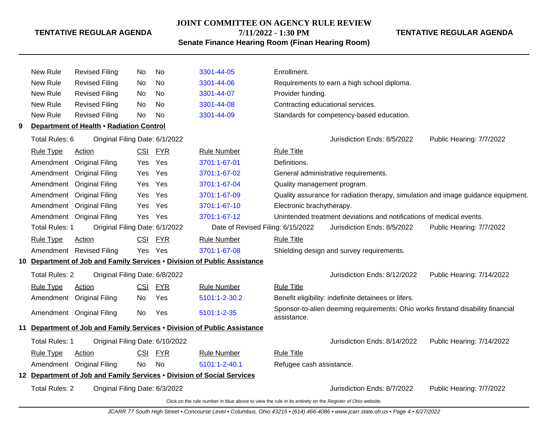#### **JOINT COMMITTEE ON AGENCY RULE REVIEW**

**7/11/2022 - 1:30 PM**

**TENTATIVE REGULAR AGENDA**

**Senate Finance Hearing Room (Finan Hearing Room)**

|    | New Rule              | <b>Revised Filing</b>                                                  | No.        | <b>No</b>  | 3301-44-05                                                                                               | Enrollment.                       |                                                                                 |                                                                                   |
|----|-----------------------|------------------------------------------------------------------------|------------|------------|----------------------------------------------------------------------------------------------------------|-----------------------------------|---------------------------------------------------------------------------------|-----------------------------------------------------------------------------------|
|    | New Rule              | <b>Revised Filing</b>                                                  | No.        | <b>No</b>  | 3301-44-06                                                                                               |                                   | Requirements to earn a high school diploma.                                     |                                                                                   |
|    | New Rule              | <b>Revised Filing</b>                                                  | No.        | <b>No</b>  | 3301-44-07                                                                                               | Provider funding.                 |                                                                                 |                                                                                   |
|    | New Rule              | <b>Revised Filing</b>                                                  | No.        | No.        | 3301-44-08                                                                                               | Contracting educational services. |                                                                                 |                                                                                   |
|    | New Rule              | <b>Revised Filing</b>                                                  | No.        | <b>No</b>  | 3301-44-09                                                                                               |                                   | Standards for competency-based education.                                       |                                                                                   |
| 9  |                       | Department of Health . Radiation Control                               |            |            |                                                                                                          |                                   |                                                                                 |                                                                                   |
|    | Total Rules: 6        | Original Filing Date: 6/1/2022                                         |            |            |                                                                                                          |                                   | Jurisdiction Ends: 8/5/2022                                                     | Public Hearing: 7/7/2022                                                          |
|    | <b>Rule Type</b>      | <b>Action</b>                                                          | CSI        | <b>FYR</b> | <b>Rule Number</b>                                                                                       | <b>Rule Title</b>                 |                                                                                 |                                                                                   |
|    | Amendment             | <b>Original Filing</b>                                                 | Yes        | Yes        | 3701:1-67-01                                                                                             | Definitions.                      |                                                                                 |                                                                                   |
|    | Amendment             | <b>Original Filing</b>                                                 | <b>Yes</b> | Yes        | 3701:1-67-02                                                                                             |                                   | General administrative requirements.                                            |                                                                                   |
|    | Amendment             | <b>Original Filing</b>                                                 | Yes        | Yes        | 3701:1-67-04                                                                                             | Quality management program.       |                                                                                 |                                                                                   |
|    | Amendment             | <b>Original Filing</b>                                                 | <b>Yes</b> | Yes        | 3701:1-67-09                                                                                             |                                   |                                                                                 | Quality assurance for radiation therapy, simulation and image guidance equipment. |
|    | Amendment             | <b>Original Filing</b>                                                 | Yes        | Yes        | 3701:1-67-10                                                                                             | Electronic brachytherapy.         |                                                                                 |                                                                                   |
|    |                       | Amendment Original Filing                                              | <b>Yes</b> | Yes        | 3701:1-67-12                                                                                             |                                   | Unintended treatment deviations and notifications of medical events.            |                                                                                   |
|    | <b>Total Rules: 1</b> | Original Filing Date: 6/1/2022                                         |            |            | Date of Revised Filing: 6/15/2022                                                                        |                                   | Jurisdiction Ends: 8/5/2022                                                     | Public Hearing: 7/7/2022                                                          |
|    | <b>Rule Type</b>      | Action                                                                 | <b>CSI</b> | <b>FYR</b> | <b>Rule Number</b>                                                                                       | <b>Rule Title</b>                 |                                                                                 |                                                                                   |
|    |                       | Amendment Revised Filing                                               | Yes Yes    |            | 3701:1-67-08                                                                                             |                                   | Shielding design and survey requirements.                                       |                                                                                   |
|    |                       |                                                                        |            |            | 10 Department of Job and Family Services . Division of Public Assistance                                 |                                   |                                                                                 |                                                                                   |
|    | <b>Total Rules: 2</b> | Original Filing Date: 6/8/2022                                         |            |            |                                                                                                          |                                   | Jurisdiction Ends: 8/12/2022                                                    | Public Hearing: 7/14/2022                                                         |
|    | <b>Rule Type</b>      | Action                                                                 | CSI        | <b>FYR</b> | <b>Rule Number</b>                                                                                       | <b>Rule Title</b>                 |                                                                                 |                                                                                   |
|    |                       | Amendment Original Filing                                              | No.        | Yes        | 5101:1-2-30.2                                                                                            |                                   | Benefit eligibility: indefinite detainees or lifers.                            |                                                                                   |
|    |                       | Amendment Original Filing                                              | No.        | Yes        | 5101:1-2-35                                                                                              | assistance.                       | Sponsor-to-alien deeming requirements: Ohio works firstand disability financial |                                                                                   |
| 11 |                       |                                                                        |            |            | Department of Job and Family Services . Division of Public Assistance                                    |                                   |                                                                                 |                                                                                   |
|    | <b>Total Rules: 1</b> | Original Filing Date: 6/10/2022                                        |            |            |                                                                                                          |                                   | Jurisdiction Ends: 8/14/2022                                                    | Public Hearing: 7/14/2022                                                         |
|    | <b>Rule Type</b>      | Action                                                                 | <b>CSI</b> | <b>FYR</b> | <b>Rule Number</b>                                                                                       | <b>Rule Title</b>                 |                                                                                 |                                                                                   |
|    |                       | Amendment Original Filing                                              | No.        | <b>No</b>  | 5101:1-2-40.1                                                                                            | Refugee cash assistance.          |                                                                                 |                                                                                   |
|    |                       | 12 Department of Job and Family Services . Division of Social Services |            |            |                                                                                                          |                                   |                                                                                 |                                                                                   |
|    | <b>Total Rules: 2</b> | Original Filing Date: 6/3/2022                                         |            |            |                                                                                                          |                                   | Jurisdiction Ends: 8/7/2022                                                     | Public Hearing: 7/7/2022                                                          |
|    |                       |                                                                        |            |            | Click on the rule number in blue above to view the rule in its entirety on the Register of Ohio website. |                                   |                                                                                 |                                                                                   |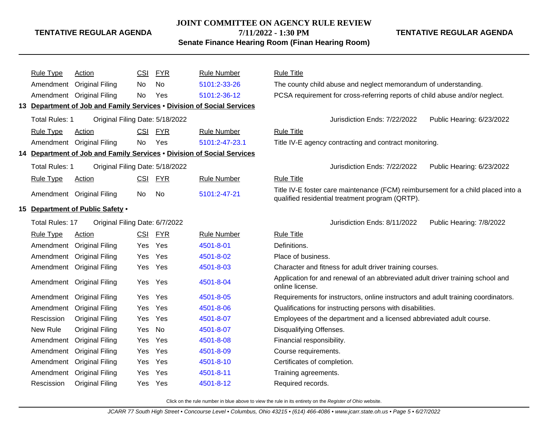#### **JOINT COMMITTEE ON AGENCY RULE REVIEW**

**7/11/2022 - 1:30 PM**

**Senate Finance Hearing Room (Finan Hearing Room)**

**TENTATIVE REGULAR AGENDA**

|                                                                        | <b>Rule Type</b>       | <b>Action</b>                                                          | CSI        | <b>FYR</b> | <b>Rule Number</b> | <b>Rule Title</b>                                                                                                                   |  |
|------------------------------------------------------------------------|------------------------|------------------------------------------------------------------------|------------|------------|--------------------|-------------------------------------------------------------------------------------------------------------------------------------|--|
|                                                                        |                        | Amendment Original Filing                                              | No         | <b>No</b>  | 5101:2-33-26       | The county child abuse and neglect memorandum of understanding.                                                                     |  |
|                                                                        |                        | Amendment Original Filing                                              | No         | Yes        | 5101:2-36-12       | PCSA requirement for cross-referring reports of child abuse and/or neglect.                                                         |  |
|                                                                        |                        | 13 Department of Job and Family Services . Division of Social Services |            |            |                    |                                                                                                                                     |  |
|                                                                        | <b>Total Rules: 1</b>  | Original Filing Date: 5/18/2022                                        |            |            |                    | Public Hearing: 6/23/2022<br>Jurisdiction Ends: 7/22/2022                                                                           |  |
|                                                                        | <b>Rule Type</b>       | Action                                                                 | <b>CSI</b> | <b>FYR</b> | <b>Rule Number</b> | <b>Rule Title</b>                                                                                                                   |  |
|                                                                        |                        | Amendment Original Filing                                              | No         | Yes        | 5101:2-47-23.1     | Title IV-E agency contracting and contract monitoring.                                                                              |  |
| 14 Department of Job and Family Services . Division of Social Services |                        |                                                                        |            |            |                    |                                                                                                                                     |  |
|                                                                        | <b>Total Rules: 1</b>  | Original Filing Date: 5/18/2022                                        |            |            |                    | Jurisdiction Ends: 7/22/2022<br>Public Hearing: 6/23/2022                                                                           |  |
|                                                                        | <b>Rule Type</b>       | Action                                                                 | <b>CSI</b> | <b>FYR</b> | <b>Rule Number</b> | <b>Rule Title</b>                                                                                                                   |  |
|                                                                        |                        | Amendment Original Filing                                              | No         | No         | 5101:2-47-21       | Title IV-E foster care maintenance (FCM) reimbursement for a child placed into a<br>qualified residential treatment program (QRTP). |  |
|                                                                        |                        | 15 Department of Public Safety .                                       |            |            |                    |                                                                                                                                     |  |
|                                                                        | <b>Total Rules: 17</b> | Original Filing Date: 6/7/2022                                         |            |            |                    | Jurisdiction Ends: 8/11/2022<br>Public Hearing: 7/8/2022                                                                            |  |
|                                                                        | <b>Rule Type</b>       | Action                                                                 | CSI        | <b>FYR</b> | <b>Rule Number</b> | <b>Rule Title</b>                                                                                                                   |  |
|                                                                        |                        | Amendment Original Filing                                              | Yes        | Yes        | 4501-8-01          | Definitions.                                                                                                                        |  |
|                                                                        |                        | Amendment Original Filing                                              | Yes        | Yes        | 4501-8-02          | Place of business.                                                                                                                  |  |
|                                                                        |                        | Amendment Original Filing                                              | Yes        | Yes        | 4501-8-03          | Character and fitness for adult driver training courses.                                                                            |  |
|                                                                        |                        | Amendment Original Filing                                              | Yes        | Yes        | 4501-8-04          | Application for and renewal of an abbreviated adult driver training school and<br>online license.                                   |  |
|                                                                        |                        | Amendment Original Filing                                              | Yes        | Yes        | 4501-8-05          | Requirements for instructors, online instructors and adult training coordinators.                                                   |  |
|                                                                        |                        | Amendment Original Filing                                              | Yes        | Yes        | 4501-8-06          | Qualifications for instructing persons with disabilities.                                                                           |  |
|                                                                        | Rescission             | <b>Original Filing</b>                                                 | Yes        | Yes        | 4501-8-07          | Employees of the department and a licensed abbreviated adult course.                                                                |  |
|                                                                        | New Rule               | Original Filing                                                        | Yes        | No         | 4501-8-07          | Disqualifying Offenses.                                                                                                             |  |
|                                                                        | Amendment              | <b>Original Filing</b>                                                 | Yes        | Yes        | 4501-8-08          | Financial responsibility.                                                                                                           |  |
|                                                                        | Amendment              | <b>Original Filing</b>                                                 | Yes        | Yes        | 4501-8-09          | Course requirements.                                                                                                                |  |
|                                                                        | Amendment              | <b>Original Filing</b>                                                 | Yes        | Yes        | 4501-8-10          | Certificates of completion.                                                                                                         |  |
|                                                                        | Amendment              | <b>Original Filing</b>                                                 | Yes        | Yes        | 4501-8-11          | Training agreements.                                                                                                                |  |
|                                                                        | Rescission             | <b>Original Filing</b>                                                 | Yes        | Yes        | 4501-8-12          | Required records.                                                                                                                   |  |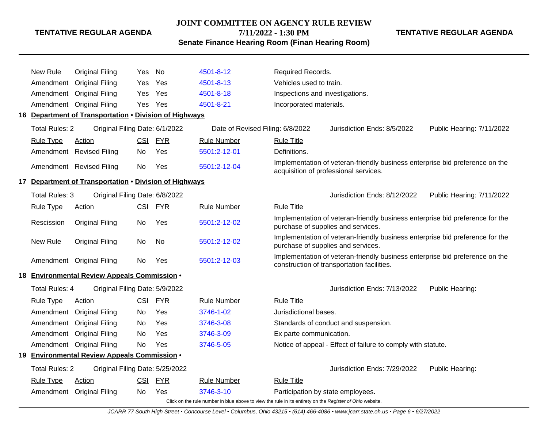#### **JOINT COMMITTEE ON AGENCY RULE REVIEW**

**7/11/2022 - 1:30 PM**

**TENTATIVE REGULAR AGENDA**

**Senate Finance Hearing Room (Finan Hearing Room)**

| New Rule              | <b>Original Filing</b>                                 | Yes | No         | 4501-8-12                        | Required Records.                 |                                                                                                                            |                           |  |
|-----------------------|--------------------------------------------------------|-----|------------|----------------------------------|-----------------------------------|----------------------------------------------------------------------------------------------------------------------------|---------------------------|--|
| Amendment             | <b>Original Filing</b>                                 | Yes | Yes        | 4501-8-13                        | Vehicles used to train.           |                                                                                                                            |                           |  |
| Amendment             | <b>Original Filing</b>                                 | Yes | Yes        | 4501-8-18                        | Inspections and investigations.   |                                                                                                                            |                           |  |
| Amendment             | <b>Original Filing</b>                                 | Yes | Yes        | 4501-8-21                        | Incorporated materials.           |                                                                                                                            |                           |  |
|                       | 16 Department of Transportation . Division of Highways |     |            |                                  |                                   |                                                                                                                            |                           |  |
| <b>Total Rules: 2</b> | Original Filing Date: 6/1/2022                         |     |            | Date of Revised Filing: 6/8/2022 |                                   | Jurisdiction Ends: 8/5/2022                                                                                                | Public Hearing: 7/11/2022 |  |
| <b>Rule Type</b>      | <b>Action</b>                                          |     | CSI FYR    | <b>Rule Number</b>               | <b>Rule Title</b>                 |                                                                                                                            |                           |  |
| Amendment             | <b>Revised Filing</b>                                  | No  | Yes        | 5501:2-12-01                     | Definitions.                      |                                                                                                                            |                           |  |
|                       | Amendment Revised Filing                               | No  | Yes        | 5501:2-12-04                     |                                   | Implementation of veteran-friendly business enterprise bid preference on the<br>acquisition of professional services.      |                           |  |
|                       | 17 Department of Transportation . Division of Highways |     |            |                                  |                                   |                                                                                                                            |                           |  |
| Total Rules: 3        | Original Filing Date: 6/8/2022                         |     |            |                                  |                                   | Public Hearing: 7/11/2022                                                                                                  |                           |  |
| <b>Rule Type</b>      | <b>Action</b>                                          |     | CSI FYR    | <b>Rule Number</b>               | <b>Rule Title</b>                 |                                                                                                                            |                           |  |
| Rescission            | <b>Original Filing</b>                                 | No  | Yes        | 5501:2-12-02                     |                                   | Implementation of veteran-friendly business enterprise bid preference for the<br>purchase of supplies and services.        |                           |  |
| New Rule              | <b>Original Filing</b>                                 | No  | No         | 5501:2-12-02                     |                                   | Implementation of veteran-friendly business enterprise bid preference for the<br>purchase of supplies and services.        |                           |  |
| Amendment             | <b>Original Filing</b>                                 | No  | Yes        | 5501:2-12-03                     |                                   | Implementation of veteran-friendly business enterprise bid preference on the<br>construction of transportation facilities. |                           |  |
|                       | 18 Environmental Review Appeals Commission .           |     |            |                                  |                                   |                                                                                                                            |                           |  |
| <b>Total Rules: 4</b> | Original Filing Date: 5/9/2022                         |     |            |                                  |                                   | Jurisdiction Ends: 7/13/2022                                                                                               | Public Hearing:           |  |
| <b>Rule Type</b>      | <b>Action</b>                                          | CSI | <u>FYR</u> | <b>Rule Number</b>               | <b>Rule Title</b>                 |                                                                                                                            |                           |  |
| Amendment             | <b>Original Filing</b>                                 | No  | Yes        | 3746-1-02                        | Jurisdictional bases.             |                                                                                                                            |                           |  |
| Amendment             | <b>Original Filing</b>                                 | No  | Yes        | 3746-3-08                        |                                   | Standards of conduct and suspension.                                                                                       |                           |  |
| Amendment             | <b>Original Filing</b>                                 | No  | Yes        | 3746-3-09                        | Ex parte communication.           |                                                                                                                            |                           |  |
| Amendment             | <b>Original Filing</b>                                 | No  | Yes        | 3746-5-05                        |                                   | Notice of appeal - Effect of failure to comply with statute.                                                               |                           |  |
|                       | 19 Environmental Review Appeals Commission .           |     |            |                                  |                                   |                                                                                                                            |                           |  |
| <b>Total Rules: 2</b> | Original Filing Date: 5/25/2022                        |     |            |                                  |                                   | Jurisdiction Ends: 7/29/2022                                                                                               | Public Hearing:           |  |
| <b>Rule Type</b>      | Action                                                 | CSI | <b>FYR</b> | <b>Rule Number</b>               | <b>Rule Title</b>                 |                                                                                                                            |                           |  |
|                       | Amendment Original Filing                              | No. | Yes        | 3746-3-10                        | Participation by state employees. |                                                                                                                            |                           |  |

Click on the rule number in blue above to view the rule in its entirety on the Register of Ohio website.

JCARR 77 South High Street • Concourse Level • Columbus, Ohio 43215 • (614) 466-4086 • www.jcarr.state.oh.us • Page 6 • 6/27/2022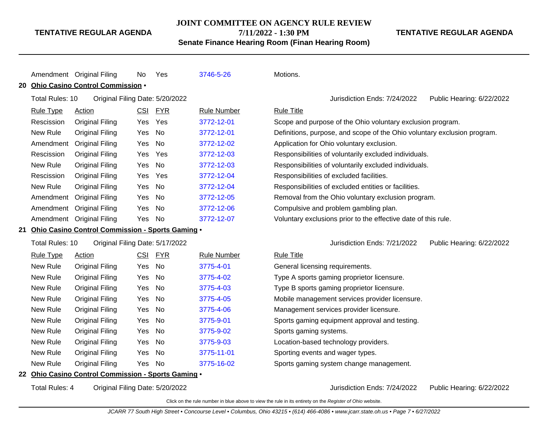**JOINT COMMITTEE ON AGENCY RULE REVIEW**

**7/11/2022 - 1:30 PM**

**Senate Finance Hearing Room (Finan Hearing Room)**

**TENTATIVE REGULAR AGENDA**

Public Hearing: 6/22/2022

Public Hearing: 6/22/2022

|                  |                 | Amendment Original Filing                           | No.        | Yes                             | 3746-5-26          | Motions.                                                                 |                        |
|------------------|-----------------|-----------------------------------------------------|------------|---------------------------------|--------------------|--------------------------------------------------------------------------|------------------------|
| 20               |                 | Ohio Casino Control Commission .                    |            |                                 |                    |                                                                          |                        |
|                  | Total Rules: 10 |                                                     |            | Original Filing Date: 5/20/2022 |                    | Jurisdiction Ends: 7/24/2022                                             | Public Hearing: 6/22/2 |
| <b>Rule Type</b> |                 | Action                                              | <b>CSI</b> | <b>FYR</b>                      | <b>Rule Number</b> | <b>Rule Title</b>                                                        |                        |
|                  | Rescission      | <b>Original Filing</b>                              | <b>Yes</b> | Yes                             | 3772-12-01         | Scope and purpose of the Ohio voluntary exclusion program.               |                        |
| New Rule         |                 | <b>Original Filing</b>                              | Yes        | No                              | 3772-12-01         | Definitions, purpose, and scope of the Ohio voluntary exclusion program. |                        |
|                  |                 | Amendment Original Filing                           | Yes        | No                              | 3772-12-02         | Application for Ohio voluntary exclusion.                                |                        |
|                  | Rescission      | <b>Original Filing</b>                              | Yes        | Yes                             | 3772-12-03         | Responsibilities of voluntarily excluded individuals.                    |                        |
| New Rule         |                 | <b>Original Filing</b>                              | Yes        | <b>No</b>                       | 3772-12-03         | Responsibilities of voluntarily excluded individuals.                    |                        |
|                  | Rescission      | <b>Original Filing</b>                              | Yes        | Yes                             | 3772-12-04         | Responsibilities of excluded facilities.                                 |                        |
| New Rule         |                 | Original Filing                                     | Yes        | No                              | 3772-12-04         | Responsibilities of excluded entities or facilities.                     |                        |
|                  |                 | Amendment Original Filing                           | Yes        | <b>No</b>                       | 3772-12-05         | Removal from the Ohio voluntary exclusion program.                       |                        |
|                  |                 | Amendment Original Filing                           | Yes        | No                              | 3772-12-06         | Compulsive and problem gambling plan.                                    |                        |
|                  |                 | Amendment Original Filing                           | Yes        | No                              | 3772-12-07         | Voluntary exclusions prior to the effective date of this rule.           |                        |
| 21               |                 | Ohio Casino Control Commission - Sports Gaming .    |            |                                 |                    |                                                                          |                        |
|                  | Total Rules: 10 |                                                     |            | Original Filing Date: 5/17/2022 |                    | Jurisdiction Ends: 7/21/2022                                             | Public Hearing: 6/22/2 |
| <b>Rule Type</b> |                 | <b>Action</b>                                       | CSI        | <b>FYR</b>                      | <b>Rule Number</b> | <b>Rule Title</b>                                                        |                        |
| New Rule         |                 | <b>Original Filing</b>                              | Yes        | <b>No</b>                       | 3775-4-01          | General licensing requirements.                                          |                        |
| New Rule         |                 | <b>Original Filing</b>                              | Yes        | No                              | 3775-4-02          | Type A sports gaming proprietor licensure.                               |                        |
| New Rule         |                 | <b>Original Filing</b>                              | Yes        | No                              | 3775-4-03          | Type B sports gaming proprietor licensure.                               |                        |
| New Rule         |                 | <b>Original Filing</b>                              | Yes        | <b>No</b>                       | 3775-4-05          | Mobile management services provider licensure.                           |                        |
| New Rule         |                 | <b>Original Filing</b>                              | Yes        | No                              | 3775-4-06          | Management services provider licensure.                                  |                        |
| New Rule         |                 | <b>Original Filing</b>                              | Yes        | No                              | 3775-9-01          | Sports gaming equipment approval and testing.                            |                        |
| New Rule         |                 | <b>Original Filing</b>                              | Yes        | <b>No</b>                       | 3775-9-02          | Sports gaming systems.                                                   |                        |
| New Rule         |                 | <b>Original Filing</b>                              | Yes        | No                              | 3775-9-03          | Location-based technology providers.                                     |                        |
| New Rule         |                 | <b>Original Filing</b>                              | Yes        | No                              | 3775-11-01         | Sporting events and wager types.                                         |                        |
| New Rule         |                 | <b>Original Filing</b>                              | Yes        | No                              | 3775-16-02         | Sports gaming system change management.                                  |                        |
|                  |                 | 22 Ohio Casino Control Commission - Sports Gaming . |            |                                 |                    |                                                                          |                        |

Total Rules: 4 Original Filing Date: 5/20/2022 Jurisdiction Ends: 7/24/2022 Public Hearing: 6/22/2022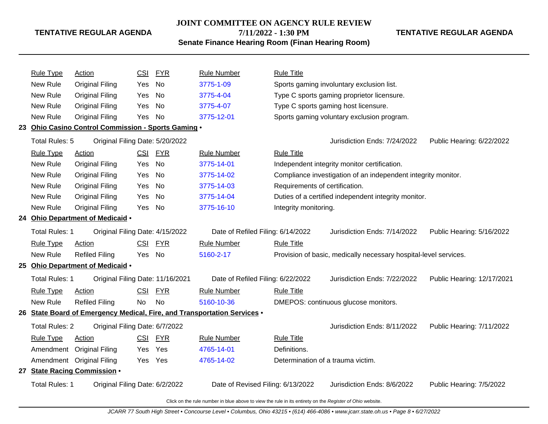#### **JOINT COMMITTEE ON AGENCY RULE REVIEW**

**7/11/2022 - 1:30 PM**

**Senate Finance Hearing Room (Finan Hearing Room)**

Rule Type Action **CSI FYR** Rule Number Rule Title New Rule Original Filing Yes No [3775-1-09](http://www.registerofohio.state.oh.us/jsps/publicdisplayrules/processPublicDisplayRules.jsp?entered_rule_no=3775-1-09&doWhat=GETBYRULENUM&raID=0) Sports gaming involuntary exclusion list. New Rule Original Filing Yes No [3775-4-04](http://www.registerofohio.state.oh.us/jsps/publicdisplayrules/processPublicDisplayRules.jsp?entered_rule_no=3775-4-04&doWhat=GETBYRULENUM&raID=0) Type C sports gaming proprietor licensure. New Rule Original Filing Yes No [3775-4-07](http://www.registerofohio.state.oh.us/jsps/publicdisplayrules/processPublicDisplayRules.jsp?entered_rule_no=3775-4-07&doWhat=GETBYRULENUM&raID=0) Type C sports gaming host licensure. New Rule Original Filing Yes No [3775-12-01](http://www.registerofohio.state.oh.us/jsps/publicdisplayrules/processPublicDisplayRules.jsp?entered_rule_no=3775-12-01&doWhat=GETBYRULENUM&raID=0) Sports gaming voluntary exclusion program. **23 Ohio Casino Control Commission - Sports Gaming** • Total Rules: 5 Original Filing Date: 5/20/2022 **Jurisdiction Ends: 7/24/2022** Public Hearing: 6/22/2022 Rule Type Action **CSI FYR** Rule Number Rule Title New Rule Original Filing Yes No [3775-14-01](http://www.registerofohio.state.oh.us/jsps/publicdisplayrules/processPublicDisplayRules.jsp?entered_rule_no=3775-14-01&doWhat=GETBYRULENUM&raID=0) Independent integrity monitor certification. New Rule Original Filing Yes No [3775-14-02](http://www.registerofohio.state.oh.us/jsps/publicdisplayrules/processPublicDisplayRules.jsp?entered_rule_no=3775-14-02&doWhat=GETBYRULENUM&raID=0) Compliance investigation of an independent integrity monitor. New Rule Original Filing Yes No [3775-14-03](http://www.registerofohio.state.oh.us/jsps/publicdisplayrules/processPublicDisplayRules.jsp?entered_rule_no=3775-14-03&doWhat=GETBYRULENUM&raID=0) Requirements of certification. New Rule Original Filing Yes No [3775-14-04](http://www.registerofohio.state.oh.us/jsps/publicdisplayrules/processPublicDisplayRules.jsp?entered_rule_no=3775-14-04&doWhat=GETBYRULENUM&raID=0) Duties of a certified independent integrity monitor. New Rule Original Filing Yes No [3775-16-10](http://www.registerofohio.state.oh.us/jsps/publicdisplayrules/processPublicDisplayRules.jsp?entered_rule_no=3775-16-10&doWhat=GETBYRULENUM&raID=0) Integrity monitoring. **24 Ohio Department of Medicaid** • Total Rules: 1 Original Filing Date: 4/15/2022 Date of Refiled Filing: 6/14/2022 Jurisdiction Ends: 7/14/2022 Public Hearing: 5/16/2022 Rule Type Action **CSI FYR** Rule Number Rule Title New Rule Refiled Filing Yes No [5160-2-17](http://www.registerofohio.state.oh.us/jsps/publicdisplayrules/processPublicDisplayRules.jsp?entered_rule_no=5160-2-17&doWhat=GETBYRULENUM&raID=0) Provision of basic, medically necessary hospital-level services. **25 Ohio Department of Medicaid** • Total Rules: 1 Original Filing Date: 11/16/2021 Date of Refiled Filing: 6/22/2022 Jurisdiction Ends: 7/22/2022 Public Hearing: 12/17/2021 Rule Type Action **CSI FYR** Rule Number Rule Title New Rule Refiled Filing No No [5160-10-36](http://www.registerofohio.state.oh.us/jsps/publicdisplayrules/processPublicDisplayRules.jsp?entered_rule_no=5160-10-36&doWhat=GETBYRULENUM&raID=0) DMEPOS: continuous glucose monitors. **26 State Board of Emergency Medical, Fire, and Transportation Services** • Total Rules: 2 Original Filing Date: 6/7/2022 Jurisdiction Ends: 8/11/2022 Public Hearing: 7/11/2022 Rule Type Action **CSI FYR** Rule Number Rule Title Amendment Original Filing Yes Yes [4765-14-01](http://www.registerofohio.state.oh.us/jsps/publicdisplayrules/processPublicDisplayRules.jsp?entered_rule_no=4765-14-01&doWhat=GETBYRULENUM&raID=0) Definitions. Amendment Original Filing Yes Yes [4765-14-02](http://www.registerofohio.state.oh.us/jsps/publicdisplayrules/processPublicDisplayRules.jsp?entered_rule_no=4765-14-02&doWhat=GETBYRULENUM&raID=0) Determination of a trauma victim. **27 State Racing Commission** • Total Rules: 1 Original Filing Date: 6/2/2022 Date of Revised Filing: 6/13/2022 Jurisdiction Ends: 8/6/2022 Public Hearing: 7/5/2022

Click on the rule number in blue above to view the rule in its entirety on the Register of Ohio website.

**TENTATIVE REGULAR AGENDA**